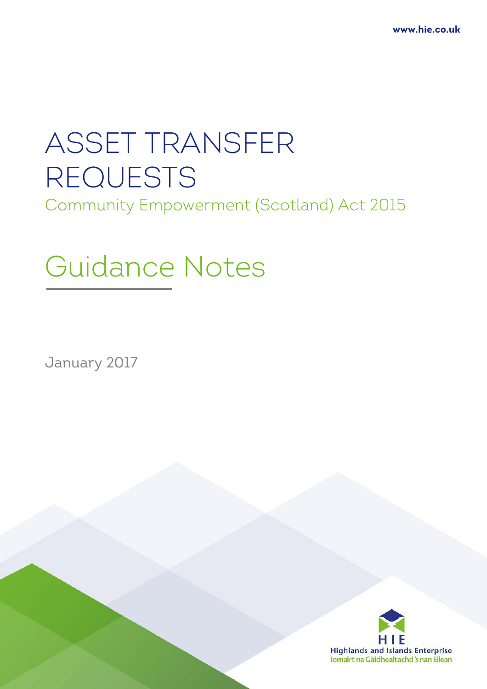# ASSET TRANSFER REQUESTS

Community Empowerment (Scotland) Act 2015

## Guidance Notes

January 2017

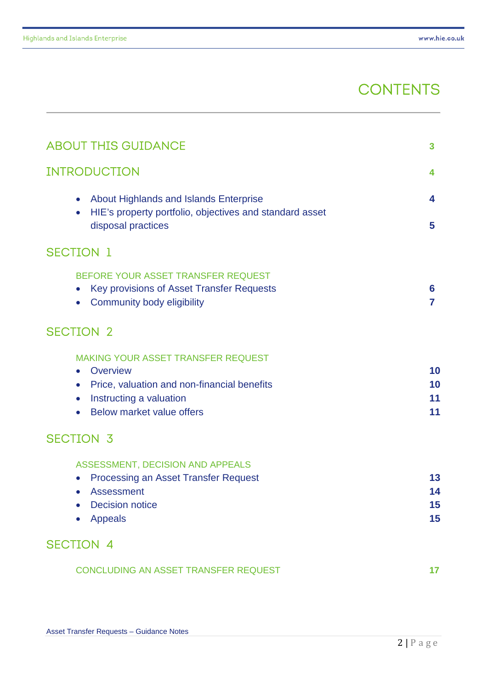### **CONTENTS**

| <b>ABOUT THIS GUIDANCE</b>                                                                                                                                                                   | 3                    |
|----------------------------------------------------------------------------------------------------------------------------------------------------------------------------------------------|----------------------|
| <b>INTRODUCTION</b>                                                                                                                                                                          | 4                    |
| <b>About Highlands and Islands Enterprise</b><br>$\bullet$<br>HIE's property portfolio, objectives and standard asset<br>$\bullet$<br>disposal practices                                     | 4<br>5               |
| <b>SECTION 1</b>                                                                                                                                                                             |                      |
| BEFORE YOUR ASSET TRANSFER REQUEST<br>Key provisions of Asset Transfer Requests<br>$\bullet$<br>Community body eligibility                                                                   | 6<br>7               |
| <b>SECTION 2</b>                                                                                                                                                                             |                      |
| MAKING YOUR ASSET TRANSFER REQUEST<br>Overview<br>$\bullet$<br>Price, valuation and non-financial benefits<br>$\bullet$<br>Instructing a valuation<br>$\bullet$<br>Below market value offers | 10<br>10<br>11<br>11 |
| <b>SECTION 3</b>                                                                                                                                                                             |                      |
| ASSESSMENT, DECISION AND APPEALS<br><b>Processing an Asset Transfer Request</b><br>$\bullet$<br><b>Assessment</b><br><b>Decision notice</b><br><b>Appeals</b>                                | 13<br>14<br>15<br>15 |
| <b>SECTION 4</b>                                                                                                                                                                             |                      |
| CONCLUDING AN ASSET TRANSFER REQUEST                                                                                                                                                         | 17                   |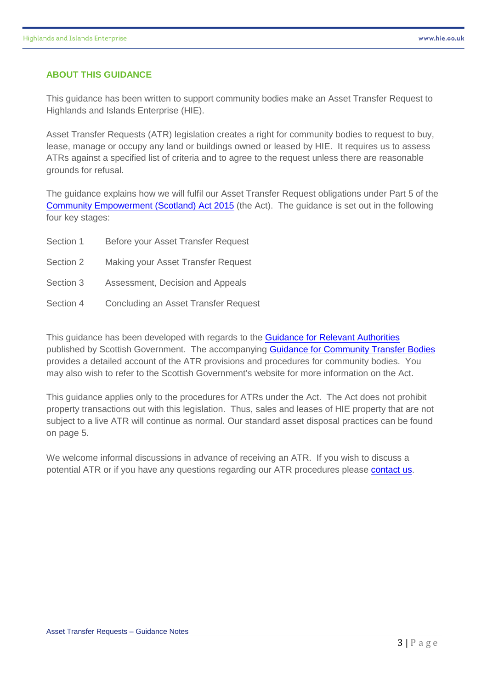#### **ABOUT THIS GUIDANCE**

This guidance has been written to support community bodies make an Asset Transfer Request to Highlands and Islands Enterprise (HIE).

Asset Transfer Requests (ATR) legislation creates a right for community bodies to request to buy, lease, manage or occupy any land or buildings owned or leased by HIE. It requires us to assess ATRs against a specified list of criteria and to agree to the request unless there are reasonable grounds for refusal.

The guidance explains how we will fulfil our Asset Transfer Request obligations under Part 5 of the [Community Empowerment \(Scotland\) Act 2015](http://www.legislation.gov.uk/asp/2015/6/pdfs/asp_20150006_en.pdf) (the Act). The guidance is set out in the following four key stages:

| Section 1 | Before your Asset Transfer Request   |
|-----------|--------------------------------------|
| Section 2 | Making your Asset Transfer Request   |
| Section 3 | Assessment, Decision and Appeals     |
| Section 4 | Concluding an Asset Transfer Request |

This guidance has been developed with regards to the [Guidance for Relevant Authorities](http://www.gov.scot/Publications/2016/11/1889) published by Scottish Government. The accompanying **[Guidance for Community Transfer Bodies](http://www.gov.scot/Publications/2016/11/3688)** provides a detailed account of the ATR provisions and procedures for community bodies. You may also wish to refer to the Scottish Government's website for more information on the Act.

This guidance applies only to the procedures for ATRs under the Act. The Act does not prohibit property transactions out with this legislation. Thus, sales and leases of HIE property that are not subject to a live ATR will continue as normal. Our standard asset disposal practices can be found on page 5.

We welcome informal discussions in advance of receiving an ATR. If you wish to discuss a potential ATR or if you have any questions regarding our ATR procedures please [contact us.](mailto:asset-transfer@hient.co.uk)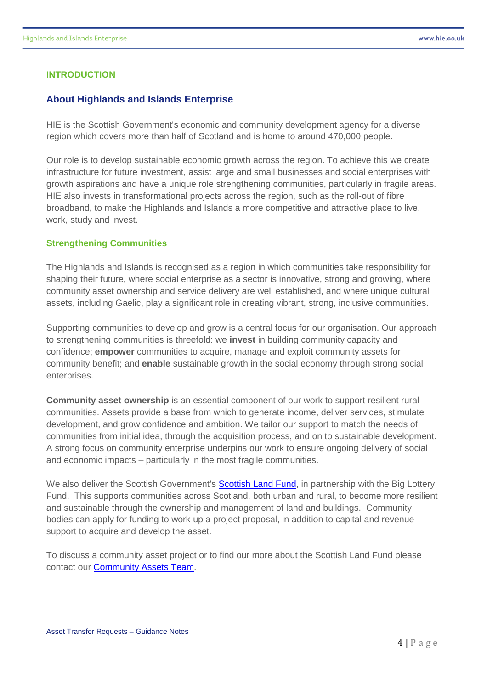#### **INTRODUCTION**

#### **About Highlands and Islands Enterprise**

HIE is the Scottish Government's economic and community development agency for a diverse region which covers more than half of Scotland and is home to around 470,000 people.

Our role is to develop sustainable economic growth across the region. To achieve this we create infrastructure for future investment, assist large and small businesses and social enterprises with growth aspirations and have a unique role strengthening communities, particularly in fragile areas. HIE also invests in transformational projects across the region, such as the roll-out of fibre broadband, to make the Highlands and Islands a more competitive and attractive place to live, work, study and invest.

#### **Strengthening Communities**

The Highlands and Islands is recognised as a region in which communities take responsibility for shaping their future, where social enterprise as a sector is innovative, strong and growing, where community asset ownership and service delivery are well established, and where unique cultural assets, including Gaelic, play a significant role in creating vibrant, strong, inclusive communities.

Supporting communities to develop and grow is a central focus for our organisation. Our approach to strengthening communities is threefold: we **invest** in building community capacity and confidence; **empower** communities to acquire, manage and exploit community assets for community benefit; and **enable** sustainable growth in the social economy through strong social enterprises.

**Community asset ownership** is an essential component of our work to support resilient rural communities. Assets provide a base from which to generate income, deliver services, stimulate development, and grow confidence and ambition. We tailor our support to match the needs of communities from initial idea, through the acquisition process, and on to sustainable development. A strong focus on community enterprise underpins our work to ensure ongoing delivery of social and economic impacts – particularly in the most fragile communities.

We also deliver the Scottish Government's [Scottish Land Fund,](https://www.biglotteryfund.org.uk/scottishlandfund) in partnership with the Big Lottery Fund. This supports communities across Scotland, both urban and rural, to become more resilient and sustainable through the ownership and management of land and buildings. Community bodies can apply for funding to work up a project proposal, in addition to capital and revenue support to acquire and develop the asset.

To discuss a community asset project or to find our more about the Scottish Land Fund please contact our [Community Assets Team.](http://www.hie.co.uk/community-support/community-assets/)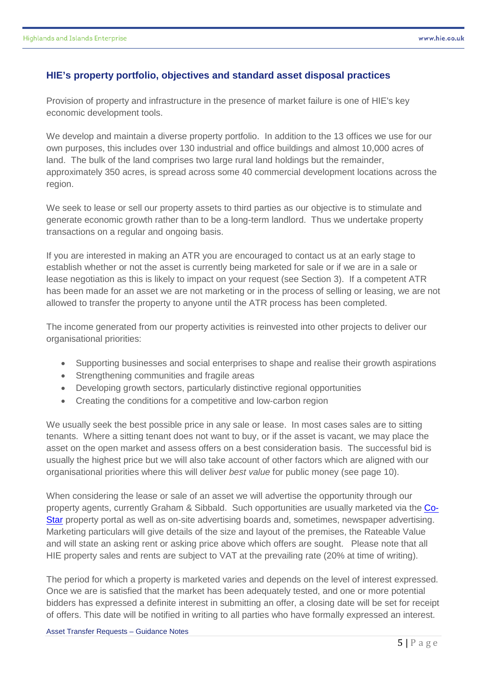#### **HIE's property portfolio, objectives and standard asset disposal practices**

Provision of property and infrastructure in the presence of market failure is one of HIE's key economic development tools.

We develop and maintain a diverse property portfolio. In addition to the 13 offices we use for our own purposes, this includes over 130 industrial and office buildings and almost 10,000 acres of land. The bulk of the land comprises two large rural land holdings but the remainder, approximately 350 acres, is spread across some 40 commercial development locations across the region.

We seek to lease or sell our property assets to third parties as our objective is to stimulate and generate economic growth rather than to be a long-term landlord. Thus we undertake property transactions on a regular and ongoing basis.

If you are interested in making an ATR you are encouraged to contact us at an early stage to establish whether or not the asset is currently being marketed for sale or if we are in a sale or lease negotiation as this is likely to impact on your request (see Section 3). If a competent ATR has been made for an asset we are not marketing or in the process of selling or leasing, we are not allowed to transfer the property to anyone until the ATR process has been completed.

The income generated from our property activities is reinvested into other projects to deliver our organisational priorities:

- Supporting businesses and social enterprises to shape and realise their growth aspirations
- Strengthening communities and fragile areas
- Developing growth sectors, particularly distinctive regional opportunities
- Creating the conditions for a competitive and low-carbon region

We usually seek the best possible price in any sale or lease. In most cases sales are to sitting tenants. Where a sitting tenant does not want to buy, or if the asset is vacant, we may place the asset on the open market and assess offers on a best consideration basis. The successful bid is usually the highest price but we will also take account of other factors which are aligned with our organisational priorities where this will deliver *best value* for public money (see page 10).

When considering the lease or sale of an asset we will advertise the opportunity through our property agents, currently Graham & Sibbald. Such opportunities are usually marketed via the [Co-](http://www.scottishproperty.co.uk/)[Star](http://www.scottishproperty.co.uk/) property portal as well as on-site advertising boards and, sometimes, newspaper advertising. Marketing particulars will give details of the size and layout of the premises, the Rateable Value and will state an asking rent or asking price above which offers are sought. Please note that all HIE property sales and rents are subject to VAT at the prevailing rate (20% at time of writing).

The period for which a property is marketed varies and depends on the level of interest expressed. Once we are is satisfied that the market has been adequately tested, and one or more potential bidders has expressed a definite interest in submitting an offer, a closing date will be set for receipt of offers. This date will be notified in writing to all parties who have formally expressed an interest.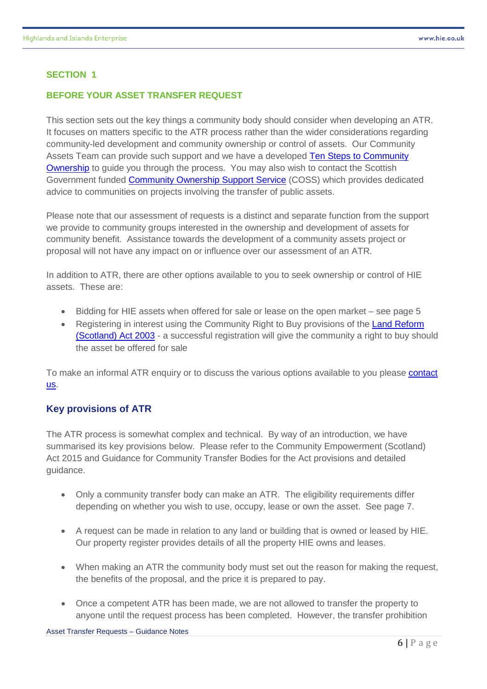#### **BEFORE YOUR ASSET TRANSFER REQUEST**

This section sets out the key things a community body should consider when developing an ATR. It focuses on matters specific to the ATR process rather than the wider considerations regarding community-led development and community ownership or control of assets. Our Community Assets Team can provide such support and we have a developed Ten [Steps to Community](http://www.hie.co.uk/community-support/community-assets/ten-steps.html)  [Ownership](http://www.hie.co.uk/community-support/community-assets/ten-steps.html) to guide you through the process. You may also wish to contact the Scottish Government funded [Community Ownership](http://www.dtascommunityownership.org.uk/) Support Service (COSS) which provides dedicated advice to communities on projects involving the transfer of public assets.

Please note that our assessment of requests is a distinct and separate function from the support we provide to community groups interested in the ownership and development of assets for community benefit. Assistance towards the development of a community assets project or proposal will not have any impact on or influence over our assessment of an ATR.

In addition to ATR, there are other options available to you to seek ownership or control of HIE assets. These are:

- Bidding for HIE assets when offered for sale or lease on the open market see page 5
- Registering in interest using the Community Right to Buy provisions of the Land Reform [\(Scotland\) Act 2003](http://www.legislation.gov.uk/asp/2003/2/contents) - a successful registration will give the community a right to buy should the asset be offered for sale

To make an informal ATR enquiry or to discuss the various options available to you please [contact](mailto:asset-transfer@hient.co.uk)  [us.](mailto:asset-transfer@hient.co.uk)

#### **Key provisions of ATR**

The ATR process is somewhat complex and technical. By way of an introduction, we have summarised its key provisions below. Please refer to the Community Empowerment (Scotland) Act 2015 and Guidance for Community Transfer Bodies for the Act provisions and detailed guidance.

- Only a community transfer body can make an ATR. The eligibility requirements differ depending on whether you wish to use, occupy, lease or own the asset. See page 7.
- A request can be made in relation to any land or building that is owned or leased by HIE. Our property register provides details of all the property HIE owns and leases.
- When making an ATR the community body must set out the reason for making the request, the benefits of the proposal, and the price it is prepared to pay.
- Once a competent ATR has been made, we are not allowed to transfer the property to anyone until the request process has been completed. However, the transfer prohibition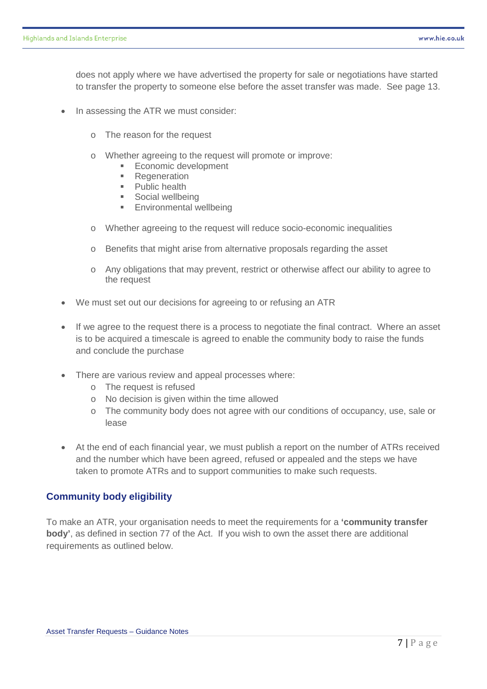does not apply where we have advertised the property for sale or negotiations have started to transfer the property to someone else before the asset transfer was made. See page 13.

- In assessing the ATR we must consider:
	- o The reason for the request
	- o Whether agreeing to the request will promote or improve:<br>
	Frequest will promote or improve:
		- **Economic development**<br>**E** Regeneration
		- **Regeneration**<br>**Public bealth**
		- Public health
		- **Social wellbeing**
		- **Environmental wellbeing**
	- o Whether agreeing to the request will reduce socio-economic inequalities
	- o Benefits that might arise from alternative proposals regarding the asset
	- o Any obligations that may prevent, restrict or otherwise affect our ability to agree to the request
- We must set out our decisions for agreeing to or refusing an ATR
- If we agree to the request there is a process to negotiate the final contract. Where an asset is to be acquired a timescale is agreed to enable the community body to raise the funds and conclude the purchase
- There are various review and appeal processes where:
	- o The request is refused
	- o No decision is given within the time allowed
	- o The community body does not agree with our conditions of occupancy, use, sale or lease
- At the end of each financial year, we must publish a report on the number of ATRs received and the number which have been agreed, refused or appealed and the steps we have taken to promote ATRs and to support communities to make such requests.

#### **Community body eligibility**

To make an ATR, your organisation needs to meet the requirements for a **'community transfer body'**, as defined in section 77 of the Act. If you wish to own the asset there are additional requirements as outlined below.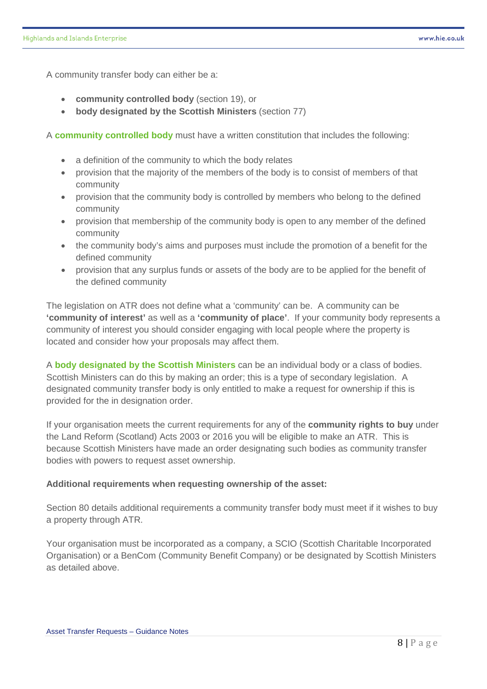A community transfer body can either be a:

- **community controlled body** (section 19), or
- **body designated by the Scottish Ministers** (section 77)

A **community controlled body** must have a written constitution that includes the following:

- a definition of the community to which the body relates
- provision that the majority of the members of the body is to consist of members of that community
- provision that the community body is controlled by members who belong to the defined community
- provision that membership of the community body is open to any member of the defined community
- the community body's aims and purposes must include the promotion of a benefit for the defined community
- provision that any surplus funds or assets of the body are to be applied for the benefit of the defined community

The legislation on ATR does not define what a 'community' can be. A community can be **'community of interest'** as well as a **'community of place'**. If your community body represents a community of interest you should consider engaging with local people where the property is located and consider how your proposals may affect them.

A **body designated by the Scottish Ministers** can be an individual body or a class of bodies. Scottish Ministers can do this by making an order; this is a type of secondary legislation. A designated community transfer body is only entitled to make a request for ownership if this is provided for the in designation order.

If your organisation meets the current requirements for any of the **community rights to buy** under the Land Reform (Scotland) Acts 2003 or 2016 you will be eligible to make an ATR. This is because Scottish Ministers have made an order designating such bodies as community transfer bodies with powers to request asset ownership.

#### **Additional requirements when requesting ownership of the asset:**

Section 80 details additional requirements a community transfer body must meet if it wishes to buy a property through ATR.

Your organisation must be incorporated as a company, a SCIO (Scottish Charitable Incorporated Organisation) or a BenCom (Community Benefit Company) or be designated by Scottish Ministers as detailed above.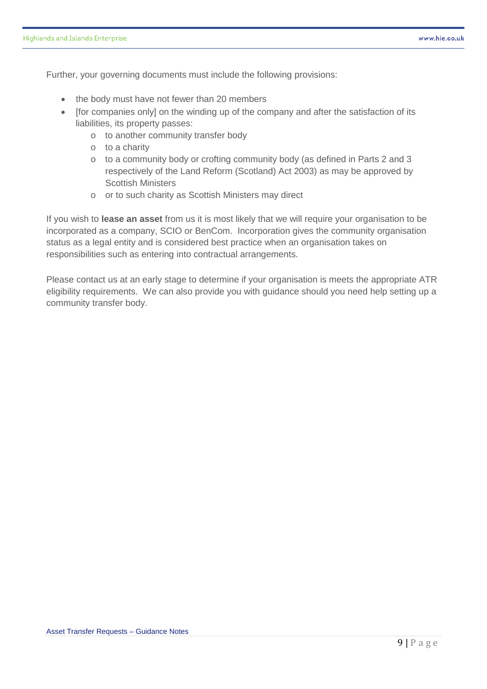Further, your governing documents must include the following provisions:

- the body must have not fewer than 20 members
- [for companies only] on the winding up of the company and after the satisfaction of its liabilities, its property passes:
	- o to another community transfer body
	- o to a charity
	- o to a community body or crofting community body (as defined in Parts 2 and 3 respectively of the Land Reform (Scotland) Act 2003) as may be approved by Scottish Ministers
	- o or to such charity as Scottish Ministers may direct

If you wish to **lease an asset** from us it is most likely that we will require your organisation to be incorporated as a company, SCIO or BenCom. Incorporation gives the community organisation status as a legal entity and is considered best practice when an organisation takes on responsibilities such as entering into contractual arrangements.

Please contact us at an early stage to determine if your organisation is meets the appropriate ATR eligibility requirements. We can also provide you with guidance should you need help setting up a community transfer body.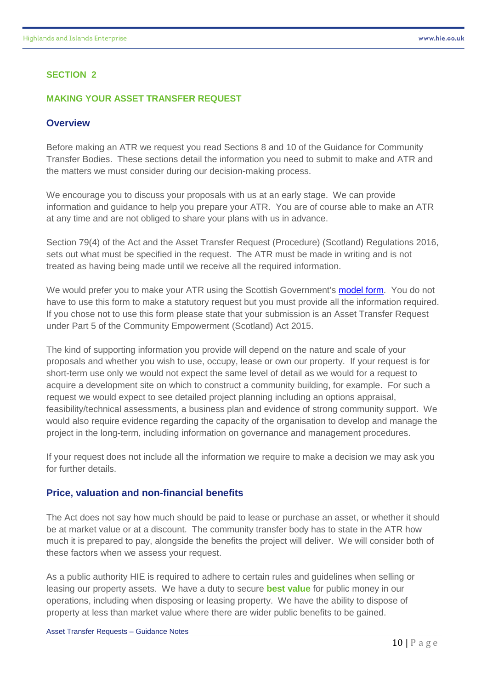#### **MAKING YOUR ASSET TRANSFER REQUEST**

#### **Overview**

Before making an ATR we request you read Sections 8 and 10 of the Guidance for Community Transfer Bodies. These sections detail the information you need to submit to make and ATR and the matters we must consider during our decision-making process.

We encourage you to discuss your proposals with us at an early stage. We can provide information and guidance to help you prepare your ATR. You are of course able to make an ATR at any time and are not obliged to share your plans with us in advance.

Section 79(4) of the Act and the Asset Transfer Request (Procedure) (Scotland) Regulations 2016, sets out what must be specified in the request. The ATR must be made in writing and is not treated as having being made until we receive all the required information.

We would prefer you to make your ATR using the Scottish Government's **model form**. You do not have to use this form to make a statutory request but you must provide all the information required. If you chose not to use this form please state that your submission is an Asset Transfer Request under Part 5 of the Community Empowerment (Scotland) Act 2015.

The kind of supporting information you provide will depend on the nature and scale of your proposals and whether you wish to use, occupy, lease or own our property. If your request is for short-term use only we would not expect the same level of detail as we would for a request to acquire a development site on which to construct a community building, for example. For such a request we would expect to see detailed project planning including an options appraisal, feasibility/technical assessments, a business plan and evidence of strong community support. We would also require evidence regarding the capacity of the organisation to develop and manage the project in the long-term, including information on governance and management procedures.

If your request does not include all the information we require to make a decision we may ask you for further details.

#### **Price, valuation and non-financial benefits**

The Act does not say how much should be paid to lease or purchase an asset, or whether it should be at market value or at a discount. The community transfer body has to state in the ATR how much it is prepared to pay, alongside the benefits the project will deliver. We will consider both of these factors when we assess your request.

As a public authority HIE is required to adhere to certain rules and guidelines when selling or leasing our property assets. We have a duty to secure **best value** for public money in our operations, including when disposing or leasing property. We have the ability to dispose of property at less than market value where there are wider public benefits to be gained.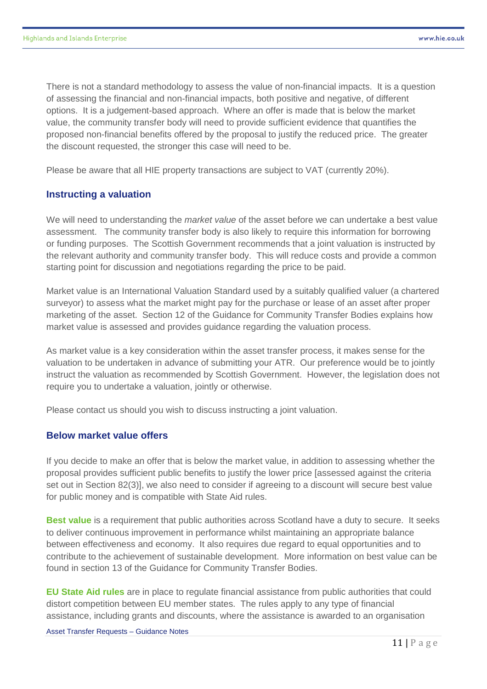There is not a standard methodology to assess the value of non-financial impacts. It is a question of assessing the financial and non-financial impacts, both positive and negative, of different options. It is a judgement-based approach. Where an offer is made that is below the market value, the community transfer body will need to provide sufficient evidence that quantifies the proposed non-financial benefits offered by the proposal to justify the reduced price. The greater the discount requested, the stronger this case will need to be.

Please be aware that all HIE property transactions are subject to VAT (currently 20%).

#### **Instructing a valuation**

We will need to understanding the *market value* of the asset before we can undertake a best value assessment. The community transfer body is also likely to require this information for borrowing or funding purposes. The Scottish Government recommends that a joint valuation is instructed by the relevant authority and community transfer body. This will reduce costs and provide a common starting point for discussion and negotiations regarding the price to be paid.

Market value is an International Valuation Standard used by a suitably qualified valuer (a chartered surveyor) to assess what the market might pay for the purchase or lease of an asset after proper marketing of the asset. Section 12 of the Guidance for Community Transfer Bodies explains how market value is assessed and provides guidance regarding the valuation process.

As market value is a key consideration within the asset transfer process, it makes sense for the valuation to be undertaken in advance of submitting your ATR. Our preference would be to jointly instruct the valuation as recommended by Scottish Government. However, the legislation does not require you to undertake a valuation, jointly or otherwise.

Please contact us should you wish to discuss instructing a joint valuation.

#### **Below market value offers**

If you decide to make an offer that is below the market value, in addition to assessing whether the proposal provides sufficient public benefits to justify the lower price [assessed against the criteria set out in Section 82(3)], we also need to consider if agreeing to a discount will secure best value for public money and is compatible with State Aid rules.

**Best value** is a requirement that public authorities across Scotland have a duty to secure. It seeks to deliver continuous improvement in performance whilst maintaining an appropriate balance between effectiveness and economy. It also requires due regard to equal opportunities and to contribute to the achievement of sustainable development. More information on best value can be found in section 13 of the Guidance for Community Transfer Bodies.

**EU State Aid rules** are in place to regulate financial assistance from public authorities that could distort competition between EU member states. The rules apply to any type of financial assistance, including grants and discounts, where the assistance is awarded to an organisation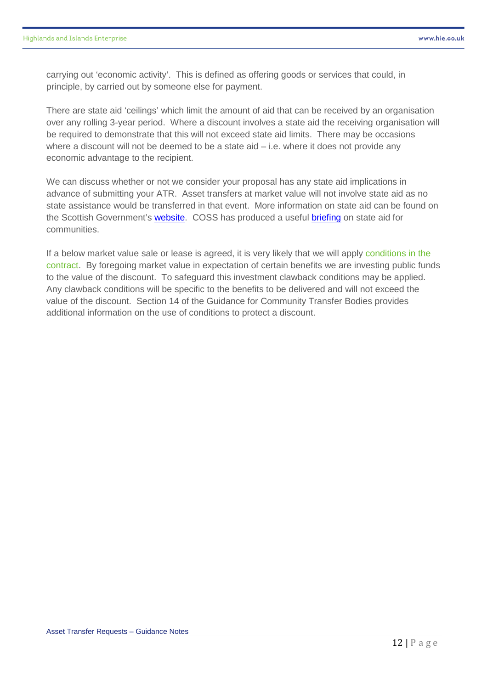carrying out 'economic activity'. This is defined as offering goods or services that could, in principle, by carried out by someone else for payment.

There are state aid 'ceilings' which limit the amount of aid that can be received by an organisation over any rolling 3-year period. Where a discount involves a state aid the receiving organisation will be required to demonstrate that this will not exceed state aid limits. There may be occasions where a discount will not be deemed to be a state aid  $-$  i.e. where it does not provide any economic advantage to the recipient.

We can discuss whether or not we consider your proposal has any state aid implications in advance of submitting your ATR. Asset transfers at market value will not involve state aid as no state assistance would be transferred in that event. More information on state aid can be found on the Scottish Government's [website.](http://www.gov.scot/Topics/Government/State-Aid) COSS has produced a useful [briefing](http://www.dtascommunityownership.org.uk/resources/finances/eu-state-aid-rules-and-community-transfer) on state aid for communities.

If a below market value sale or lease is agreed, it is very likely that we will apply conditions in the contract. By foregoing market value in expectation of certain benefits we are investing public funds to the value of the discount. To safeguard this investment clawback conditions may be applied. Any clawback conditions will be specific to the benefits to be delivered and will not exceed the value of the discount. Section 14 of the Guidance for Community Transfer Bodies provides additional information on the use of conditions to protect a discount.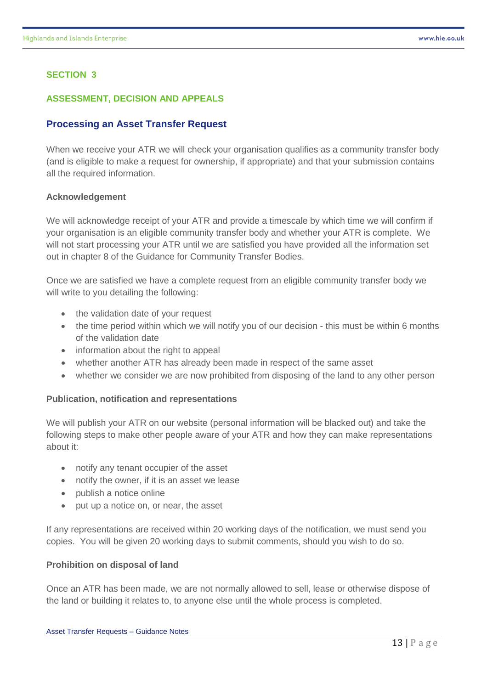#### **ASSESSMENT, DECISION AND APPEALS**

#### **Processing an Asset Transfer Request**

When we receive your ATR we will check your organisation qualifies as a community transfer body (and is eligible to make a request for ownership, if appropriate) and that your submission contains all the required information.

#### **Acknowledgement**

We will acknowledge receipt of your ATR and provide a timescale by which time we will confirm if your organisation is an eligible community transfer body and whether your ATR is complete. We will not start processing your ATR until we are satisfied you have provided all the information set out in chapter 8 of the Guidance for Community Transfer Bodies.

Once we are satisfied we have a complete request from an eligible community transfer body we will write to you detailing the following:

- the validation date of your request
- the time period within which we will notify you of our decision this must be within 6 months of the validation date
- information about the right to appeal
- whether another ATR has already been made in respect of the same asset
- whether we consider we are now prohibited from disposing of the land to any other person

#### **Publication, notification and representations**

We will publish your ATR on our website (personal information will be blacked out) and take the following steps to make other people aware of your ATR and how they can make representations about it:

- notify any tenant occupier of the asset
- notify the owner, if it is an asset we lease
- publish a notice online
- put up a notice on, or near, the asset

If any representations are received within 20 working days of the notification, we must send you copies. You will be given 20 working days to submit comments, should you wish to do so.

#### **Prohibition on disposal of land**

Once an ATR has been made, we are not normally allowed to sell, lease or otherwise dispose of the land or building it relates to, to anyone else until the whole process is completed.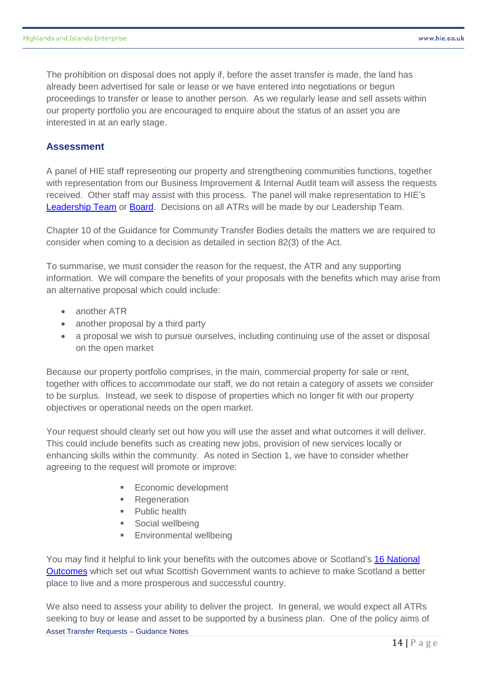The prohibition on disposal does not apply if, before the asset transfer is made, the land has already been advertised for sale or lease or we have entered into negotiations or begun proceedings to transfer or lease to another person. As we regularly lease and sell assets within our property portfolio you are encouraged to enquire about the status of an asset you are interested in at an early stage.

#### **Assessment**

A panel of HIE staff representing our property and strengthening communities functions, together with representation from our Business Improvement & Internal Audit team will assess the requests received. Other staff may assist with this process. The panel will make representation to HIE's [Leadership Team](http://www.hie.co.uk/about-hie/who-we-are/directors-and-senior-managers/) or [Board.](http://www.hie.co.uk/about-hie/who-we-are/board-members/default.html) Decisions on all ATRs will be made by our Leadership Team.

Chapter 10 of the Guidance for Community Transfer Bodies details the matters we are required to consider when coming to a decision as detailed in section 82(3) of the Act.

To summarise, we must consider the reason for the request, the ATR and any supporting information. We will compare the benefits of your proposals with the benefits which may arise from an alternative proposal which could include:

- another ATR
- another proposal by a third party
- a proposal we wish to pursue ourselves, including continuing use of the asset or disposal on the open market

Because our property portfolio comprises, in the main, commercial property for sale or rent, together with offices to accommodate our staff, we do not retain a category of assets we consider to be surplus. Instead, we seek to dispose of properties which no longer fit with our property objectives or operational needs on the open market.

Your request should clearly set out how you will use the asset and what outcomes it will deliver. This could include benefits such as creating new jobs, provision of new services locally or enhancing skills within the community. As noted in Section 1, we have to consider whether agreeing to the request will promote or improve:

- Economic development
- **Regeneration**
- **Public health**
- Social wellbeing
- Environmental wellbeing

You may find it helpful to link your benefits with the outcomes above or Scotland's [16 National](http://www.gov.scot/About/Performance/scotPerforms/outcome)  [Outcomes](http://www.gov.scot/About/Performance/scotPerforms/outcome) which set out what Scottish Government wants to achieve to make Scotland a better place to live and a more prosperous and successful country.

We also need to assess your ability to deliver the project. In general, we would expect all ATRs seeking to buy or lease and asset to be supported by a business plan. One of the policy aims of Asset Transfer Requests – Guidance Notes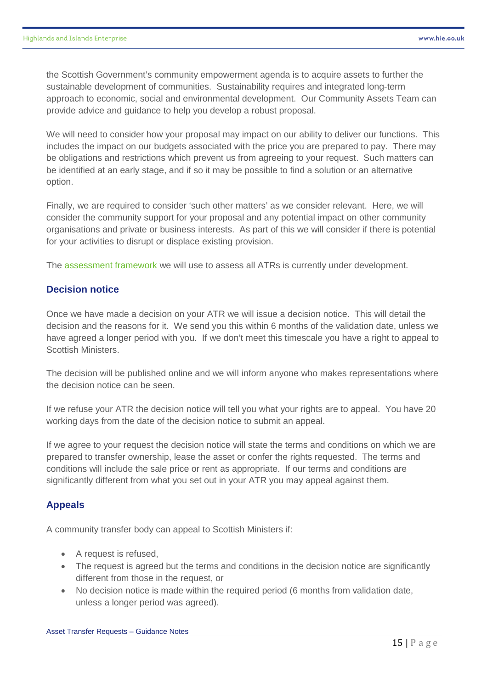the Scottish Government's community empowerment agenda is to acquire assets to further the sustainable development of communities. Sustainability requires and integrated long-term approach to economic, social and environmental development. Our Community Assets Team can provide advice and guidance to help you develop a robust proposal.

We will need to consider how your proposal may impact on our ability to deliver our functions. This includes the impact on our budgets associated with the price you are prepared to pay. There may be obligations and restrictions which prevent us from agreeing to your request. Such matters can be identified at an early stage, and if so it may be possible to find a solution or an alternative option.

Finally, we are required to consider 'such other matters' as we consider relevant. Here, we will consider the community support for your proposal and any potential impact on other community organisations and private or business interests. As part of this we will consider if there is potential for your activities to disrupt or displace existing provision.

The assessment framework we will use to assess all ATRs is currently under development.

#### **Decision notice**

Once we have made a decision on your ATR we will issue a decision notice. This will detail the decision and the reasons for it. We send you this within 6 months of the validation date, unless we have agreed a longer period with you. If we don't meet this timescale you have a right to appeal to Scottish Ministers.

The decision will be published online and we will inform anyone who makes representations where the decision notice can be seen.

If we refuse your ATR the decision notice will tell you what your rights are to appeal. You have 20 working days from the date of the decision notice to submit an appeal.

If we agree to your request the decision notice will state the terms and conditions on which we are prepared to transfer ownership, lease the asset or confer the rights requested. The terms and conditions will include the sale price or rent as appropriate. If our terms and conditions are significantly different from what you set out in your ATR you may appeal against them.

#### **Appeals**

A community transfer body can appeal to Scottish Ministers if:

- A request is refused,
- The request is agreed but the terms and conditions in the decision notice are significantly different from those in the request, or
- No decision notice is made within the required period (6 months from validation date, unless a longer period was agreed).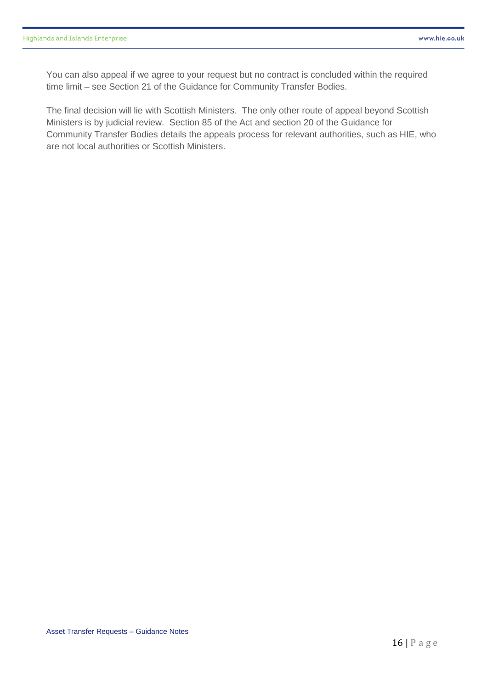You can also appeal if we agree to your request but no contract is concluded within the required time limit – see Section 21 of the Guidance for Community Transfer Bodies.

The final decision will lie with Scottish Ministers. The only other route of appeal beyond Scottish Ministers is by judicial review. Section 85 of the Act and section 20 of the Guidance for Community Transfer Bodies details the appeals process for relevant authorities, such as HIE, who are not local authorities or Scottish Ministers.